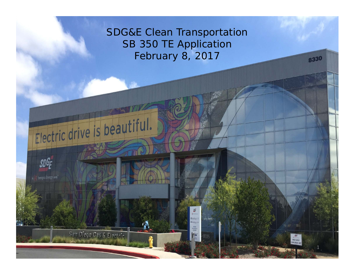SDG&E Clean Transportation SB 350 TE Application February 8, 2017

> Ollubling 1 Hirldman  $\begin{tabular}{|c|c|} \hline & P5751 \\ \hline \end{tabular}$   $\begin{tabular}{|c|c|} \hline P57511 \\ \hline \end{tabular}$

F

8335

Flectric drive is beautiful.

San Diego Gas & Electric

**SDGF** 

A Sempra Energy utility

1

8330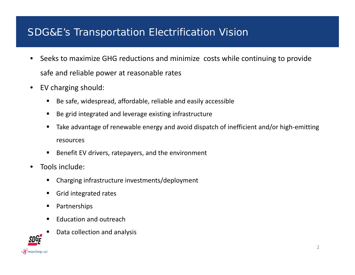# SDG&E's Transportation Electrification Vision

- $\bullet$  Seeks to maximize GHG reductions and minimize costs while continuing to provide safe and reliable power at reasonable rates
- $\bullet$ • EV charging should:
	- Be safe, widespread, affordable, reliable and easily accessible
	- $\blacksquare$ ■ Be grid integrated and leverage existing infrastructure
	- Ш ■ Take advantage of renewable energy and avoid dispatch of inefficient and/or high-emitting resources
	- $\blacksquare$ ■ Benefit EV drivers, ratepayers, and the environment
- •• Tools include:
	- П Charging infrastructure investments/deployment
	- $\blacksquare$ **Grid integrated rates**
	- Partnerships
	- Ш **Education and outreach**



Ш ■ Data collection and analysis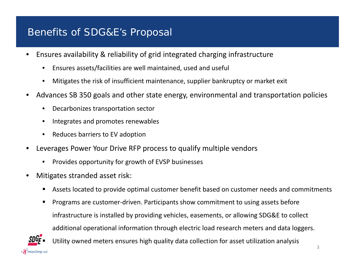### Benefits of SDG&E's Proposal

- $\bullet$ • Ensures availability & reliability of grid integrated charging infrastructure
	- •Ensures assets/facilities are well maintained, used and useful
	- •Mitigates the risk of insufficient maintenance, supplier bankruptcy or market exit
- $\bullet$  Advances SB 350 goals and other state energy, environmental and transportation policies
	- •Decarbonizes transportation sector
	- •Integrates and promotes renewables
	- •• Reduces barriers to EV adoption
- • Leverages Power Your Drive RFP process to qualify multiple vendors
	- •• Provides opportunity for growth of EVSP businesses
- • Mitigates stranded asset risk:
	- Assets located to provide optimal customer benefit based on customer needs and commitments
	- $\blacksquare$  Programs are customer‐driven. Participants show commitment to using assets before infrastructure is installed by providing vehicles, easements, or allowing SDG&E to collect additional operational information through electric load research meters and data loggers.

Utility owned meters ensures high quality data collection for asset utilization analysis

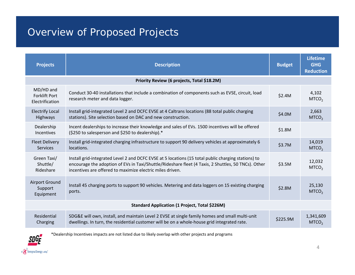# Overview of Proposed Projects

| <b>Projects</b>                                       | <b>Description</b>                                                                                                                                                                                                                                                      |          | <b>Lifetime</b><br><b>GHG</b><br><b>Reduction</b> |  |  |  |  |
|-------------------------------------------------------|-------------------------------------------------------------------------------------------------------------------------------------------------------------------------------------------------------------------------------------------------------------------------|----------|---------------------------------------------------|--|--|--|--|
| Priority Review (6 projects, Total \$18.2M)           |                                                                                                                                                                                                                                                                         |          |                                                   |  |  |  |  |
| MD/HD and<br><b>Forklift Port</b><br>Electrification  | Conduct 30-40 installations that include a combination of components such as EVSE, circuit, load<br>research meter and data logger.                                                                                                                                     |          | 4,102<br>MTCO <sub>2</sub>                        |  |  |  |  |
| <b>Electrify Local</b><br>Highways                    | Install grid-integrated Level 2 and DCFC EVSE at 4 Caltrans locations (88 total public charging<br>stations). Site selection based on DAC and new construction.                                                                                                         | \$4.0M   | 2,663<br>MTCO <sub>2</sub>                        |  |  |  |  |
| Dealership<br>Incentives                              | Incent dealerships to increase their knowledge and sales of EVs. 1500 incentives will be offered<br>(\$250 to salesperson and \$250 to dealership).*                                                                                                                    | \$1.8M   |                                                   |  |  |  |  |
| <b>Fleet Delivery</b><br>Services                     | Install grid-integrated charging infrastructure to support 90 delivery vehicles at approximately 6<br>locations.                                                                                                                                                        | \$3.7M   | 14,019<br>MTCO <sub>2</sub>                       |  |  |  |  |
| Green Taxi/<br>Shuttle/<br>Rideshare                  | Install grid-integrated Level 2 and DCFC EVSE at 5 locations (15 total public charging stations) to<br>encourage the adoption of EVs in Taxi/Shuttle/Rideshare fleet (4 Taxis, 2 Shuttles, 50 TNCs). Other<br>incentives are offered to maximize electric miles driven. |          | 12,032<br>MTCO <sub>2</sub>                       |  |  |  |  |
| <b>Airport Ground</b><br>Support<br>Equipment         | Install 45 charging ports to support 90 vehicles. Metering and data loggers on 15 existing charging<br>ports.                                                                                                                                                           | \$2.8M   | 25,130<br>MTCO <sub>2</sub>                       |  |  |  |  |
| <b>Standard Application (1 Project, Total \$226M)</b> |                                                                                                                                                                                                                                                                         |          |                                                   |  |  |  |  |
| Residential<br>Charging                               | SDG&E will own, install, and maintain Level 2 EVSE at single family homes and small multi-unit<br>dwellings. In turn, the residential customer will be on a whole-house grid integrated rate.                                                                           | \$225.9M | 1,341,609<br>MTCO <sub>2</sub>                    |  |  |  |  |



\*Dealership Incentives impacts are not listed due to likely overlap with other projects and programs

4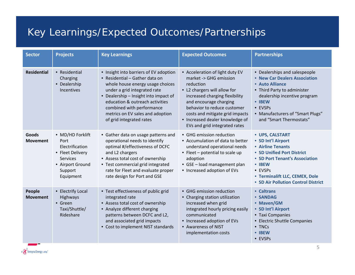# Key Learnings/Expected Outcomes/Partnerships

| <b>Sector</b>             | <b>Projects</b>                                                                                                                | <b>Key Learnings</b>                                                                                                                                                                                                                                                                                                  | <b>Expected Outcomes</b>                                                                                                                                                                                                                                                                                 | <b>Partnerships</b>                                                                                                                                                                                                                  |
|---------------------------|--------------------------------------------------------------------------------------------------------------------------------|-----------------------------------------------------------------------------------------------------------------------------------------------------------------------------------------------------------------------------------------------------------------------------------------------------------------------|----------------------------------------------------------------------------------------------------------------------------------------------------------------------------------------------------------------------------------------------------------------------------------------------------------|--------------------------------------------------------------------------------------------------------------------------------------------------------------------------------------------------------------------------------------|
| <b>Residential</b>        | • Residential<br>Charging<br>• Dealership<br>Incentives                                                                        | • Insight into barriers of EV adoption<br>• Residential - Gather data on<br>whole house energy usage choices<br>under a grid integrated rate<br>• Dealership - Insight into impact of<br>education & outreach activities<br>combined with performance<br>metrics on EV sales and adoption<br>of grid integrated rates | • Acceleration of light duty EV<br>market -> GHG emission<br>reduction<br>• L2 chargers will allow for<br>increased charging flexibility<br>and encourage charging<br>behavior to reduce customer<br>costs and mitigate grid impacts<br>• Increased dealer knowledge of<br>EVs and grid integrated rates | • Dealerships and salespeople<br>• New Car Dealers Association<br>• Auto Alliance<br>• Third Party to administer<br>dealership incentive program<br>• IBEW<br>• EVSPs<br>• Manufacturers of "Smart Plugs"<br>and "Smart Thermostats" |
| Goods<br><b>Movement</b>  | • MD/HD Forklift<br>Port<br>Electrification<br>• Fleet Delivery<br><b>Services</b><br>• Airport Ground<br>Support<br>Equipment | • Gather data on usage patterns and<br>operational needs to identify<br>optimal #/effectiveness of DCFC<br>and L2 chargers<br>• Assess total cost of ownership<br>• Test commercial grid integrated<br>rate for Fleet and evaluate proper<br>rate design for Port and GSE                                             | • GHG emission reduction<br>• Accumulation of data to better<br>understand operational needs<br>• Fleet - potential to scale up<br>adoption<br>• GSE - load management plan<br>• Increased adoption of EVs                                                                                               | • UPS, CALSTART<br>• SD Int'l Airport<br>• Airline Tenants<br>• SD Unified Port District<br>• SD Port Tenant's Association<br>• IBEW<br>• EVSPs<br>• Terminalift LLC, CEMEX, Dole<br>• SD Air Pollution Control District             |
| People<br><b>Movement</b> | • Electrify Local<br>Highways<br>• Green<br>Taxi/Shuttle/<br>Rideshare                                                         | • Test effectiveness of public grid<br>integrated rate<br>• Assess total cost of ownership<br>• Analyze different charging<br>patterns between DCFC and L2,<br>and associated grid impacts<br>• Cost to implement NIST standards                                                                                      | • GHG emission reduction<br>• Charging station utilization<br>increased when grid<br>integrated hourly pricing easily<br>communicated<br>• Increased adoption of EVs<br>• Awareness of NIST<br>implementation costs                                                                                      | • Caltrans<br>· SANDAG<br>• Maven/GM<br>• SD Int'l Airport<br>• Taxi Companies<br>• Electric Shuttle Companies<br>• TNCs<br>• IBEW<br>• EVSPs                                                                                        |

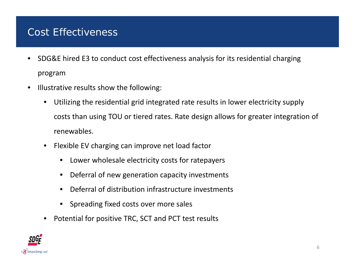#### Cost Effectiveness

- • SDG&E hired E3 to conduct cost effectiveness analysis for its residential charging program
- $\bullet$ • Illustrative results show the following:
	- $\bullet$  Utilizing the residential grid integrated rate results in lower electricity supply costs than using TOU or tiered rates. Rate design allows for greater integration of renewables.
	- $\bullet$  Flexible EV charging can improve net load factor
		- •Lower wholesale electricity costs for ratepayers
		- •Deferral of new generation capacity investments
		- •Deferral of distribution infrastructure investments
		- •Spreading fixed costs over more sales
	- $\bullet$ Potential for positive TRC, SCT and PCT test results

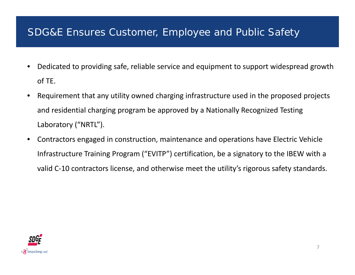#### SDG&E Ensures Customer, Employee and Public Safety

- • Dedicated to providing safe, reliable service and equipment to support widespread growth of TE.
- • Requirement that any utility owned charging infrastructure used in the proposed projects and residential charging program be approved by a Nationally Recognized Testing Laboratory ("NRTL").
- • Contractors engaged in construction, maintenance and operations have Electric Vehicle Infrastructure Training Program ("EVITP") certification, be a signatory to the IBEW with a valid C‐10 contractors license, and otherwise meet the utility's rigorous safety standards.

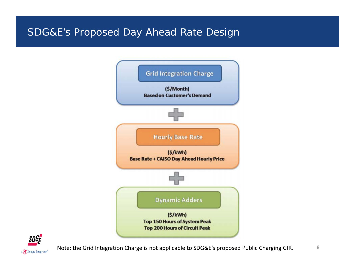## SDG&E's Proposed Day Ahead Rate Design